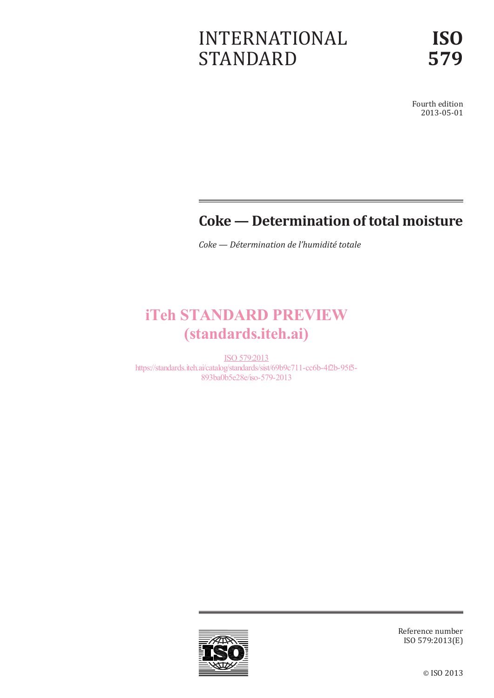# INTERNATIONAL STANDARD

Fourth edition 2013-05-01

## **Coke — Determination of total moisture**

*Coke — Détermination de l'humidité totale*

# iTeh STANDARD PREVIEW (standards.iteh.ai)

ISO 579:2013 https://standards.iteh.ai/catalog/standards/sist/69b9c711-cc6b-4f2b-95f5- 893ba0b5e28e/iso-579-2013



Reference number ISO 579:2013(E)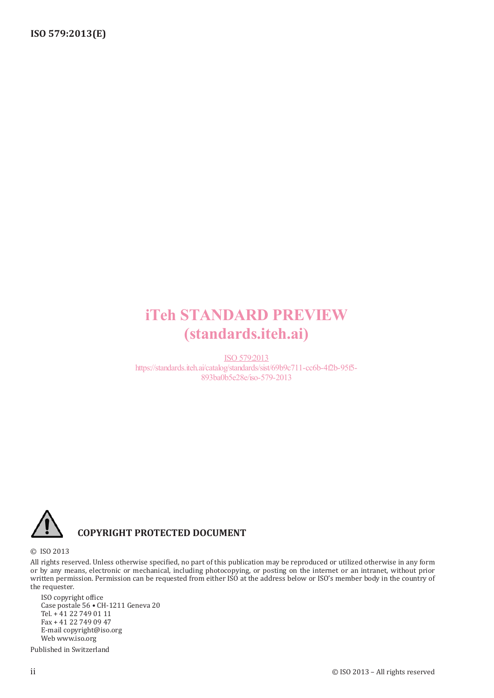# iTeh STANDARD PREVIEW (standards.iteh.ai)

ISO 579:2013 https://standards.iteh.ai/catalog/standards/sist/69b9c711-cc6b-4f2b-95f5- 893ba0b5e28e/iso-579-2013



### **COPYRIGHT PROTECTED DOCUMENT**

© ISO 2013

All rights reserved. Unless otherwise specified, no part of this publication may be reproduced or utilized otherwise in any form or by any means, electronic or mechanical, including photocopying, or posting on the internet or an intranet, without prior written permission. Permission can be requested from either ISO at the address below or ISO's member body in the country of the requester.

ISO copyright office Case postale 56 • CH-1211 Geneva 20 Tel. + 41 22 749 01 11 Fax + 41 22 749 09 47 E-mail copyright@iso.org Web www.iso.org

Published in Switzerland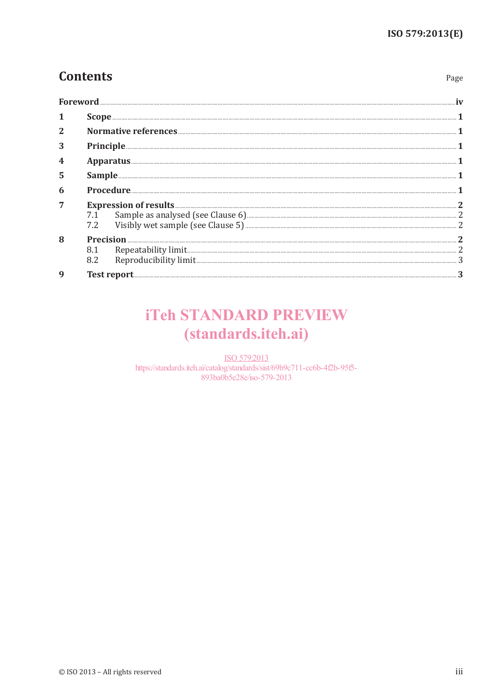Page

## **Contents**

| $\overline{2}$ |                                                                                                                                                                                                                                     |  |  |  |
|----------------|-------------------------------------------------------------------------------------------------------------------------------------------------------------------------------------------------------------------------------------|--|--|--|
| 3              | Principle <b>Executive Constitution Constitution</b> Constitution Constitution Constitution Constitution Constitution Constitution Constitution Constitution Constitution Constitution Constitution Constitution Constitution Const |  |  |  |
|                |                                                                                                                                                                                                                                     |  |  |  |
| 5              |                                                                                                                                                                                                                                     |  |  |  |
| 6              |                                                                                                                                                                                                                                     |  |  |  |
| 7              | Expression of results 2<br>7.1 Sample as analysed (see Clause 6) 2<br>8 2<br>7.2                                                                                                                                                    |  |  |  |
| 8              | 8.2                                                                                                                                                                                                                                 |  |  |  |
| q              |                                                                                                                                                                                                                                     |  |  |  |

# **iTeh STANDARD PREVIEW** (standards.iteh.ai)

ISO 579:2013 https://standards.iteh.ai/catalog/standards/sist/69b9c711-cc6b-4f2b-95f5-893ba0b5e28e/iso-579-2013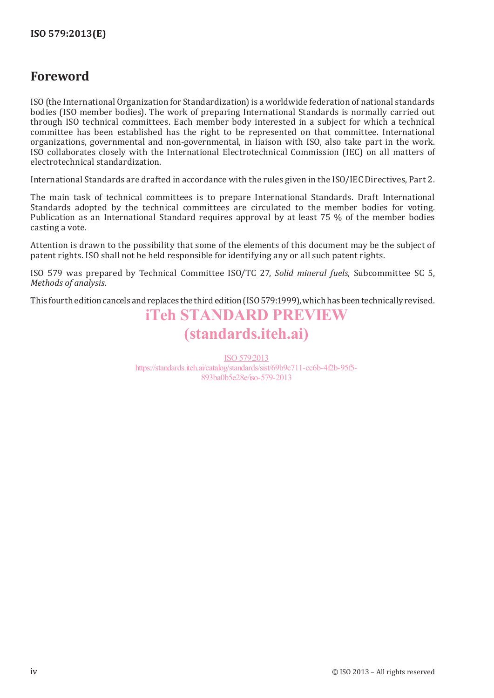### **Foreword**

ISO (the International Organization for Standardization) is a worldwide federation of national standards bodies (ISO member bodies). The work of preparing International Standards is normally carried out through ISO technical committees. Each member body interested in a subject for which a technical committee has been established has the right to be represented on that committee. International organizations, governmental and non-governmental, in liaison with ISO, also take part in the work. ISO collaborates closely with the International Electrotechnical Commission (IEC) on all matters of electrotechnical standardization.

International Standards are drafted in accordance with the rules given in the ISO/IEC Directives, Part 2.

The main task of technical committees is to prepare International Standards. Draft International Standards adopted by the technical committees are circulated to the member bodies for voting. Publication as an International Standard requires approval by at least 75 % of the member bodies casting a vote.

Attention is drawn to the possibility that some of the elements of this document may be the subject of patent rights. ISO shall not be held responsible for identifying any or all such patent rights.

ISO 579 was prepared by Technical Committee ISO/TC 27, *Solid mineral fuels*, Subcommittee SC 5, *Methods of analysis*.

This fourth edition cancels and replaces the third edition (ISO579:1999), which has been technically revised.

## iTeh STANDARD PREVIEW (standards.iteh.ai)

ISO 579:2013 https://standards.iteh.ai/catalog/standards/sist/69b9c711-cc6b-4f2b-95f5- 893ba0b5e28e/iso-579-2013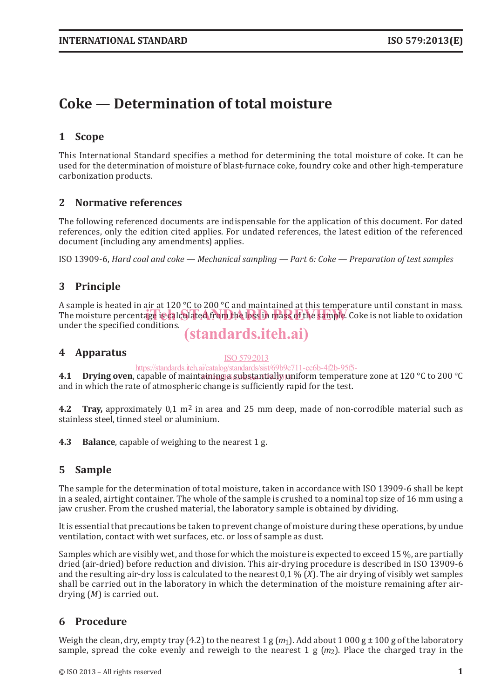## **Coke — Determination of total moisture**

### **1 Scope**

This International Standard specifies a method for determining the total moisture of coke. It can be used for the determination of moisture of blast-furnace coke, foundry coke and other high-temperature carbonization products.

#### **2 Normative references**

The following referenced documents are indispensable for the application of this document. For dated references, only the edition cited applies. For undated references, the latest edition of the referenced document (including any amendments) applies.

ISO 13909-6, *Hard coal and coke — Mechanical sampling — Part 6: Coke — Preparation of test samples*

### **3 Principle**

A sample is heated in air at 120 °C to 200 °C and maintained at this temperature until constant in mass. The moisture percentage is calculated from the loss in mass of the sample. Coke is not liable to oxidation and the mostline of the sample. Coke is not liable to oxidation under the specified conditions.

## (standards.iteh.ai)

#### **4 Apparatus**

#### ISO 579:2013

https://standards.iteh.ai/catalog/standards/sist/69b9c711-cc6b-4f2b-95f5-

**4.1 Drying oven**, capable of maintaining a substantially uniform temperature zone at 120 °C to 200 °C and in which the rate of atmospheric change is sufficiently rapid for the test.

**4.2 Tray,** approximately 0,1 m2 in area and 25 mm deep, made of non-corrodible material such as stainless steel, tinned steel or aluminium.

**4.3 Balance**, capable of weighing to the nearest 1 g.

#### **5 Sample**

The sample for the determination of total moisture, taken in accordance with ISO 13909-6 shall be kept in a sealed, airtight container. The whole of the sample is crushed to a nominal top size of 16 mm using a jaw crusher. From the crushed material, the laboratory sample is obtained by dividing.

It is essential that precautions be taken to prevent change of moisture during these operations, by undue ventilation, contact with wet surfaces, etc. or loss of sample as dust.

Samples which are visibly wet, and those for which the moisture is expected to exceed 15 %, are partially dried (air-dried) before reduction and division. This air-drying procedure is described in ISO 13909-6 and the resulting air-dry loss is calculated to the nearest 0,1 % (*X*). The air drying of visibly wet samples shall be carried out in the laboratory in which the determination of the moisture remaining after airdrying (*M*) is carried out.

#### **6 Procedure**

Weigh the clean, dry, empty tray (4.2) to the nearest 1 g  $(m_1)$ . Add about 1 000 g  $\pm$  100 g of the laboratory sample, spread the coke evenly and reweigh to the nearest 1 g (*m*2). Place the charged tray in the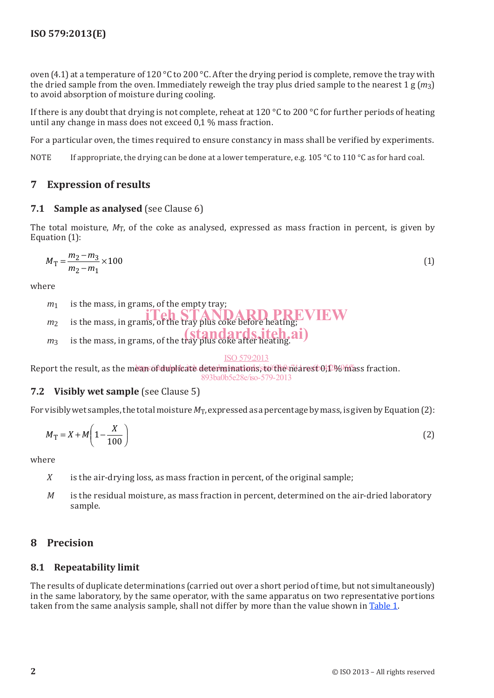oven (4.1) at a temperature of 120 °C to 200 °C. After the drying period is complete, remove the tray with the dried sample from the oven. Immediately reweigh the tray plus dried sample to the nearest 1 g (*m*3) to avoid absorption of moisture during cooling.

If there is any doubt that drying is not complete, reheat at 120 °C to 200 °C for further periods of heating until any change in mass does not exceed 0,1 % mass fraction.

For a particular oven, the times required to ensure constancy in mass shall be verified by experiments.

NOTE If appropriate, the drying can be done at a lower temperature, e.g. 105 °C to 110 °C as for hard coal.

### **7 Expression of results**

#### **7.1 Sample as analysed** (see Clause 6)

The total moisture,  $M_T$ , of the coke as analysed, expressed as mass fraction in percent, is given by Equation (1):

$$
M_{\rm T} = \frac{m_2 - m_3}{m_2 - m_1} \times 100\tag{1}
$$

where

- *m*<sup>1</sup> is the mass, in grams, of the empty tray;
- $m_2$  is the mass, in grams, of the tray plus coke before heating;
- $m_3$  is the mass, in grams, of the tray plus coke after heating.
- 

#### ISO 579:2013

Report the result, as the mean of duplicate determinations, to the nearest 0,1 % mass fraction. 893ba0b5e28e/iso-579-2013

#### **7.2 Visibly wet sample** (see Clause 5)

For visibly wet samples, the total moisture  $M_T$ , expressed as a percentage by mass, is given by Equation (2):

$$
M_{\rm T} = X + M \left( 1 - \frac{X}{100} \right) \tag{2}
$$

where

- *X* is the air-drying loss, as mass fraction in percent, of the original sample;
- *M* is the residual moisture, as mass fraction in percent, determined on the air-dried laboratory sample.

### **8 Precision**

#### **8.1 Repeatability limit**

The results of duplicate determinations (carried out over a short period of time, but not simultaneously) in the same laboratory, by the same operator, with the same apparatus on two representative portions taken from the same analysis sample, shall not differ by more than the value shown in Table 1.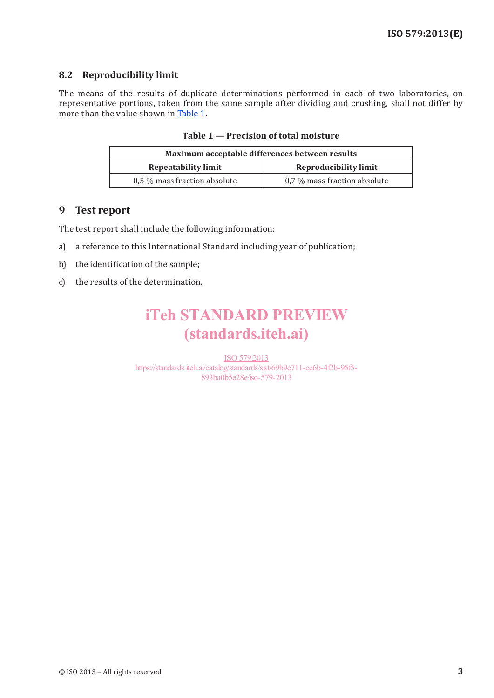#### **8.2 Reproducibility limit**

The means of the results of duplicate determinations performed in each of two laboratories, on representative portions, taken from the same sample after dividing and crushing, shall not differ by more than the value shown in Table 1.

|  | Table 1 – Precision of total moisture |  |  |
|--|---------------------------------------|--|--|
|--|---------------------------------------|--|--|

| Maximum acceptable differences between results |                              |  |  |
|------------------------------------------------|------------------------------|--|--|
| <b>Repeatability limit</b>                     | <b>Reproducibility limit</b> |  |  |
| 0.5 % mass fraction absolute                   | 0.7 % mass fraction absolute |  |  |

#### **9 Test report**

The test report shall include the following information:

- a) a reference to this International Standard including year of publication;
- b) the identification of the sample;
- c) the results of the determination.

# iTeh STANDARD PREVIEW (standards.iteh.ai)

ISO 579:2013 https://standards.iteh.ai/catalog/standards/sist/69b9c711-cc6b-4f2b-95f5- 893ba0b5e28e/iso-579-2013